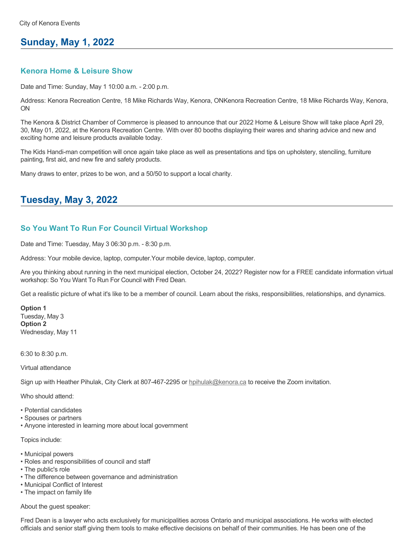### **Sunday, May 1, 2022**

#### **Kenora Home & Leisure Show**

Date and Time: Sunday, May 1 10:00 a.m. - 2:00 p.m.

Address: Kenora Recreation Centre, 18 Mike Richards Way, Kenora, ONKenora Recreation Centre, 18 Mike Richards Way, Kenora, ON

The Kenora & District Chamber of Commerce is pleased to announce that our 2022 Home & Leisure Show will take place April 29, 30, May 01, 2022, at the Kenora Recreation Centre. With over 80 booths displaying their wares and sharing advice and new and exciting home and leisure products available today.

The Kids Handi-man competition will once again take place as well as presentations and tips on upholstery, stenciling, furniture painting, first aid, and new fire and safety products.

Many draws to enter, prizes to be won, and a 50/50 to support a local charity.

# **Tuesday, May 3, 2022**

#### **So You Want To Run For Council Virtual Workshop**

Date and Time: Tuesday, May 3 06:30 p.m. - 8:30 p.m.

Address: Your mobile device, laptop, computer.Your mobile device, laptop, computer.

Are you thinking about running in the next municipal election, October 24, 2022? Register now for a FREE candidate information virtual workshop: So You Want To Run For Council with Fred Dean.

Get a realistic picture of what it's like to be a member of council. Learn about the risks, responsibilities, relationships, and dynamics.

**Option 1** Tuesday, May 3 **Option 2** Wednesday, May 11

6:30 to 8:30 p.m.

Virtual attendance

Sign up with Heather Pihulak, City Clerk at 807-467-2295 or **hpihulak@kenora.ca** to receive the Zoom invitation.

Who should attend:

- Potential candidates
- Spouses or partners
- Anyone interested in learning more about local government

Topics include:

- Municipal powers
- Roles and responsibilities of council and staff
- The public's role
- The difference between governance and administration
- Municipal Conflict of Interest
- The impact on family life

About the guest speaker:

Fred Dean is a lawyer who acts exclusively for municipalities across Ontario and municipal associations. He works with elected officials and senior staff giving them tools to make effective decisions on behalf of their communities. He has been one of the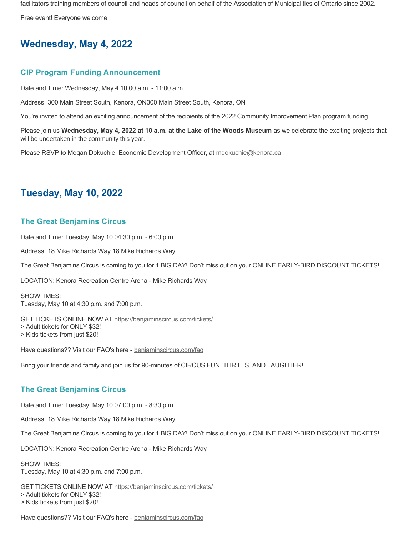facilitators training members of council and heads of council on behalf of the Association of Municipalities of Ontario since 2002.

Free event! Everyone welcome!

# **Wednesday, May 4, 2022**

### **CIP Program Funding Announcement**

Date and Time: Wednesday, May 4 10:00 a.m. - 11:00 a.m.

Address: 300 Main Street South, Kenora, ON300 Main Street South, Kenora, ON

You're invited to attend an exciting announcement of the recipients of the 2022 Community Improvement Plan program funding.

Please join us **Wednesday, May 4, 2022 at 10 a.m. at the Lake of the Woods Museum** as we celebrate the exciting projects that will be undertaken in the community this year.

Please RSVP to Megan Dokuchie, Economic Development Officer, at [mdokuchie@kenora.ca](mailto:mdokuchie@kenora.ca)

### **Tuesday, May 10, 2022**

### **The Great Benjamins Circus**

Date and Time: Tuesday, May 10 04:30 p.m. - 6:00 p.m.

Address: 18 Mike Richards Way 18 Mike Richards Way

The Great Benjamins Circus is coming to you for 1 BIG DAY! Don't miss out on your ONLINE EARLY-BIRD DISCOUNT TICKETS!

LOCATION: Kenora Recreation Centre Arena - Mike Richards Way

SHOWTIMES: Tuesday, May 10 at 4:30 p.m. and 7:00 p.m.

GET TICKETS ONLINE NOW AT [https://benjaminscircus.com/tickets/](https://benjaminscircus.com/tickets/?fbclid=IwAR2yis8_bNj2MLTgCl8IgY86FjjFq9ANxEol1Y8YBSwkhw7mYPr2UKJUlp8)

> Adult tickets for ONLY \$32!

> Kids tickets from just \$20!

Have questions?? Visit our FAQ's here - [benjaminscircus.com/faq](https://l.facebook.com/l.php?u=http%3A%2F%2Fbenjaminscircus.com%2Ffaq%3Ffbclid%3DIwAR3-ddNp9Arhvhjd-GnZU7kNtdLXUo89gqBQ1L05oGVnf5e7gP8rkEP9O3s&h=AT1DbdXOU4bgYTTi8EA9gYiwpZpmQ5L8LXXGgRVfGhadjYj-xMr0r-CMCB8TtClczcBsConZnGUL9hOYyoyuL9kizHrUskC1J6_XZE8QOfLCL3hMuOG3SI5_A8y3O72efA&__tn__=q&c[0]=AT2aHYpv6YxuZIYNT_aMLJIXTjnwBhLBeTqI0uFm2aZesxrb79Tfd6H5Wgyp-2xrXw8Hfl9zsVwQmS4dvzipm6cA61o6NoLz73GupuOPL5eODW_NBbPltM-3NuOSTppQqLYhrZdoh2Wbn-Z2Q2Bu-d-6)

Bring your friends and family and join us for 90-minutes of CIRCUS FUN, THRILLS, AND LAUGHTER!

#### **The Great Benjamins Circus**

Date and Time: Tuesday, May 10 07:00 p.m. - 8:30 p.m.

Address: 18 Mike Richards Way 18 Mike Richards Way

The Great Benjamins Circus is coming to you for 1 BIG DAY! Don't miss out on your ONLINE EARLY-BIRD DISCOUNT TICKETS!

LOCATION: Kenora Recreation Centre Arena - Mike Richards Way

#### SHOWTIMES:

Tuesday, May 10 at 4:30 p.m. and 7:00 p.m.

GET TICKETS ONLINE NOW AT [https://benjaminscircus.com/tickets/](https://benjaminscircus.com/tickets/?fbclid=IwAR2yis8_bNj2MLTgCl8IgY86FjjFq9ANxEol1Y8YBSwkhw7mYPr2UKJUlp8)

> Adult tickets for ONLY \$32!

> Kids tickets from just \$20!

Have questions?? Visit our FAQ's here - [benjaminscircus.com/faq](https://l.facebook.com/l.php?u=http%3A%2F%2Fbenjaminscircus.com%2Ffaq%3Ffbclid%3DIwAR3-ddNp9Arhvhjd-GnZU7kNtdLXUo89gqBQ1L05oGVnf5e7gP8rkEP9O3s&h=AT1DbdXOU4bgYTTi8EA9gYiwpZpmQ5L8LXXGgRVfGhadjYj-xMr0r-CMCB8TtClczcBsConZnGUL9hOYyoyuL9kizHrUskC1J6_XZE8QOfLCL3hMuOG3SI5_A8y3O72efA&__tn__=q&c[0]=AT2aHYpv6YxuZIYNT_aMLJIXTjnwBhLBeTqI0uFm2aZesxrb79Tfd6H5Wgyp-2xrXw8Hfl9zsVwQmS4dvzipm6cA61o6NoLz73GupuOPL5eODW_NBbPltM-3NuOSTppQqLYhrZdoh2Wbn-Z2Q2Bu-d-6)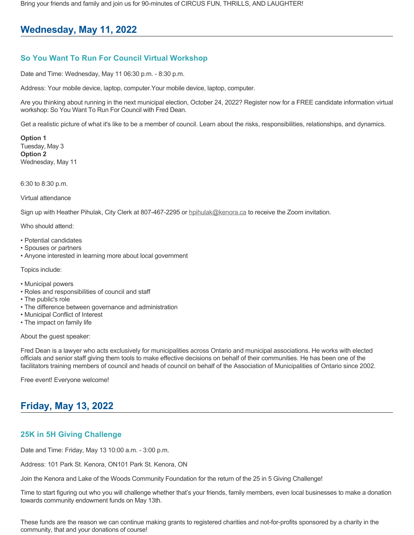Bring your friends and family and join us for 90-minutes of CIRCUS FUN, THRILLS, AND LAUGHTER!

# **Wednesday, May 11, 2022**

### **So You Want To Run For Council Virtual Workshop**

Date and Time: Wednesday, May 11 06:30 p.m. - 8:30 p.m.

Address: Your mobile device, laptop, computer.Your mobile device, laptop, computer.

Are you thinking about running in the next municipal election, October 24, 2022? Register now for a FREE candidate information virtual workshop: So You Want To Run For Council with Fred Dean.

Get a realistic picture of what it's like to be a member of council. Learn about the risks, responsibilities, relationships, and dynamics.

**Option 1** Tuesday, May 3 **Option 2** Wednesday, May 11

6:30 to 8:30 p.m.

Virtual attendance

Sign up with Heather Pihulak, City Clerk at 807-467-2295 or **hpihulak@kenora.ca** to receive the Zoom invitation.

Who should attend:

- Potential candidates
- Spouses or partners
- Anyone interested in learning more about local government

Topics include:

- Municipal powers
- Roles and responsibilities of council and staff
- The public's role
- The difference between governance and administration
- Municipal Conflict of Interest
- The impact on family life

About the guest speaker:

Fred Dean is a lawyer who acts exclusively for municipalities across Ontario and municipal associations. He works with elected officials and senior staff giving them tools to make effective decisions on behalf of their communities. He has been one of the facilitators training members of council and heads of council on behalf of the Association of Municipalities of Ontario since 2002.

Free event! Everyone welcome!

# **Friday, May 13, 2022**

### **25K in 5H Giving Challenge**

Date and Time: Friday, May 13 10:00 a.m. - 3:00 p.m.

Address: 101 Park St. Kenora, ON101 Park St. Kenora, ON

Join the Kenora and Lake of the Woods Community Foundation for the return of the 25 in 5 Giving Challenge!

Time to start figuring out who you will challenge whether that's your friends, family members, even local businesses to make a donation towards community endowment funds on May 13th.

These funds are the reason we can continue making grants to registered charities and not-for-profits sponsored by a charity in the community, that and your donations of course!